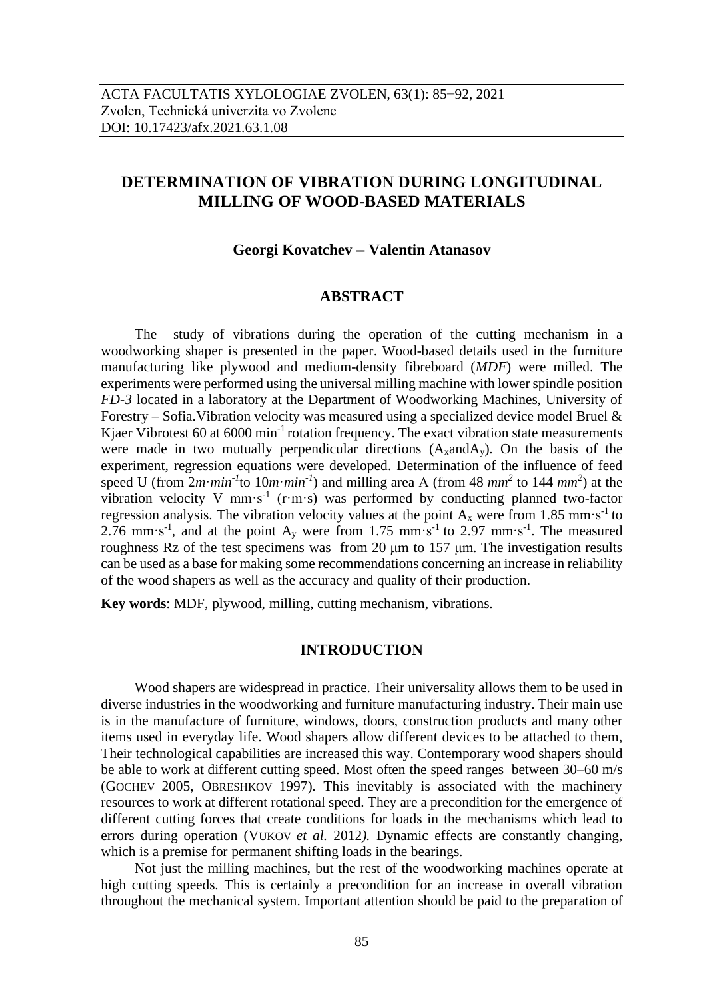# **DETERMINATION OF VIBRATION DURING LONGITUDINAL MILLING OF WOOD-BASED MATERIALS**

### **Georgi Kovatchev** − **Valentin Atanasov**

### **ABSTRACT**

The study of vibrations during the operation of the cutting mechanism in a woodworking shaper is presented in the paper. Wood-based details used in the furniture manufacturing like plywood and medium-density fibreboard (*MDF*) were milled. The experiments were performed using the universal milling machine with lower spindle position *FD-3* located in a laboratory at the Department of Woodworking Machines, University of Forestry – Sofia. Vibration velocity was measured using a specialized device model Bruel  $\&$ Kjaer Vibrotest 60 at 6000 min<sup>-1</sup> rotation frequency. The exact vibration state measurements were made in two mutually perpendicular directions  $(A_x$ and $A_y$ ). On the basis of the experiment, regression equations were developed. Determination of the influence of feed speed U (from  $2m \cdot min^{-1}$ to  $10m \cdot min^{-1}$ ) and milling area A (from 48  $mm^2$  to 144  $mm^2$ ) at the vibration velocity V mm·s<sup>-1</sup> (r·m·s) was performed by conducting planned two-factor regression analysis. The vibration velocity values at the point  $A_x$  were from 1.85 mm·s<sup>-1</sup> to 2.76 mm·s<sup>-1</sup>, and at the point  $A_y$  were from 1.75 mm·s<sup>-1</sup> to 2.97 mm·s<sup>-1</sup>. The measured roughness Rz of the test specimens was from 20 μm to 157 μm. The investigation results can be used as a base for making some recommendations concerning an increase in reliability of the wood shapers as well as the accuracy and quality of their production.

**Key words**: MDF, plywood, milling, cutting mechanism, vibrations.

### **INTRODUCTION**

Wood shapers are widespread in practice. Their universality allows them to be used in diverse industries in the woodworking and furniture manufacturing industry. Their main use is in the manufacture of furniture, windows, doors, construction products and many other items used in everyday life. Wood shapers allow different devices to be attached to them, Their technological capabilities are increased this way. Contemporary wood shapers should be able to work at different cutting speed. Most often the speed ranges between 30–60 m/s (GOCHEV 2005, OBRESHKOV 1997). This inevitably is associated with the machinery resources to work at different rotational speed. They are a precondition for the emergence of different cutting forces that create conditions for loads in the mechanisms which lead to errors during operation (VUKOV *et al.* 2012*).* Dynamic effects are constantly changing, which is a premise for permanent shifting loads in the bearings.

Not just the milling machines, but the rest of the woodworking machines operate at high cutting speeds. This is certainly a precondition for an increase in overall vibration throughout the mechanical system. Important attention should be paid to the preparation of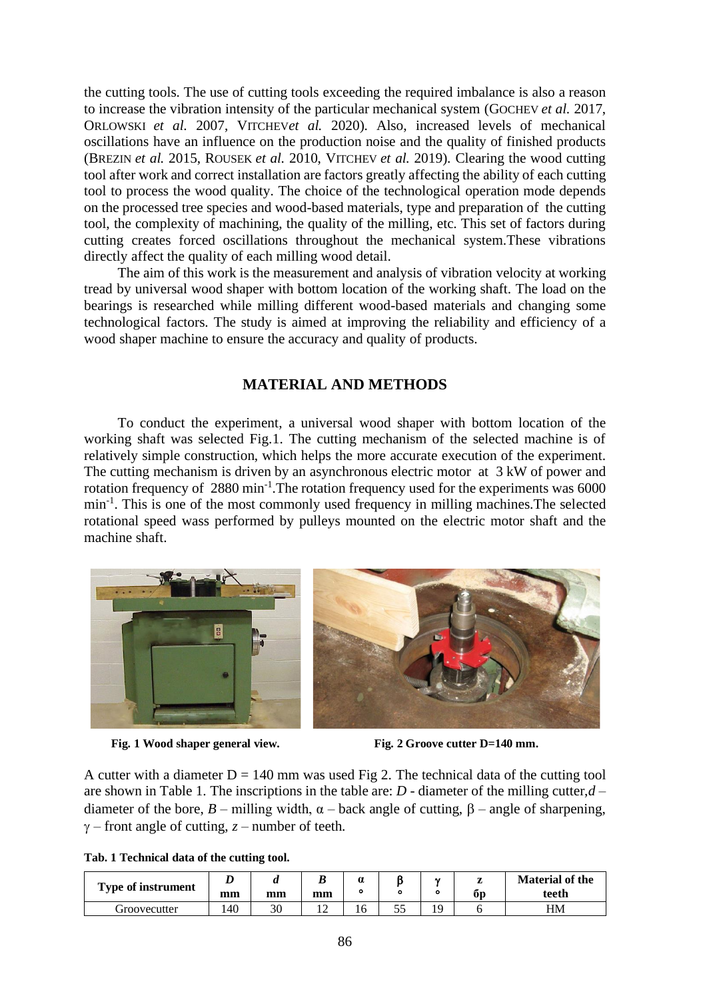the cutting tools. The use of cutting tools exceeding the required imbalance is also a reason to increase the vibration intensity of the particular mechanical system (GOCHEV *et al.* 2017, ORLOWSKI *et al.* 2007, VITCHEV*et al.* 2020). Also, increased levels of mechanical oscillations have an influence on the production noise and the quality of finished products (BREZIN *et al.* 2015, ROUSEK *et al.* 2010, VITCHEV *et al.* 2019). Clearing the wood cutting tool after work and correct installation are factors greatly affecting the ability of each cutting tool to process the wood quality. The choice of the technological operation mode depends on the processed tree species and wood-based materials, type and preparation of the cutting tool, the complexity of machining, the quality of the milling, etc. This set of factors during cutting creates forced oscillations throughout the mechanical system.These vibrations directly affect the quality of each milling wood detail.

The aim of this work is the measurement and analysis of vibration velocity at working tread by universal wood shaper with bottom location of the working shaft. The load on the bearings is researched while milling different wood-based materials and changing some technological factors. The study is aimed at improving the reliability and efficiency of a wood shaper machine to ensure the accuracy and quality of products.

# **MATERIAL AND METHODS**

To conduct the experiment, a universal wood shaper with bottom location of the working shaft was selected Fig.1. The cutting mechanism of the selected machine is of relatively simple construction, which helps the more accurate execution of the experiment. The cutting mechanism is driven by an asynchronous electric motor at 3 kW of power and rotation frequency of 2880 min<sup>-1</sup>. The rotation frequency used for the experiments was 6000 min<sup>-1</sup>. This is one of the most commonly used frequency in milling machines. The selected rotational speed wass performed by pulleys mounted on the electric motor shaft and the machine shaft.



**Fig. 1 Wood shaper general view. Fig. 2 Groove cutter D=140 mm.**

A cutter with a diameter  $D = 140$  mm was used Fig 2. The technical data of the cutting tool are shown in Table 1. The inscriptions in the table are: *D* - diameter of the milling cutter,*d* – diameter of the bore,  $B$  – milling width,  $\alpha$  – back angle of cutting,  $\beta$  – angle of sharpening,  $\gamma$  – front angle of cutting, *z* – number of teeth.

**Tab. 1 Technical data of the cutting tool.**

| <b>Type of instrument</b> | mm  | mm | D<br>mm | $\alpha$ |   | <br>ŌI | <b>Material of the</b><br>teeth |
|---------------------------|-----|----|---------|----------|---|--------|---------------------------------|
| Groovecutter              | 140 | 30 | ∸       | 10       | ັ |        | HМ                              |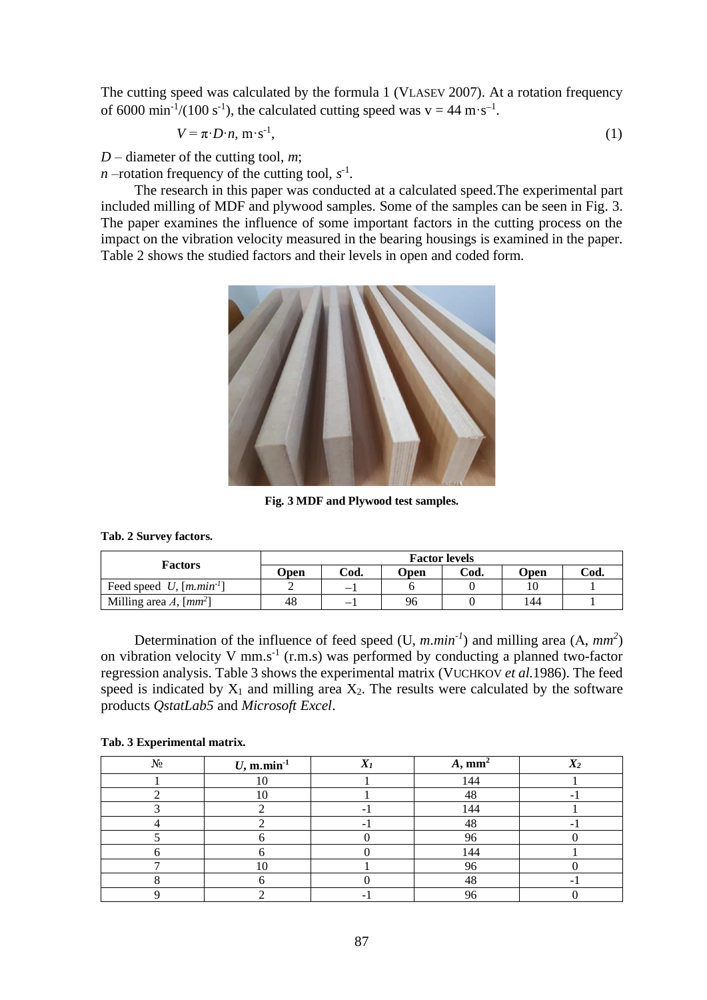The cutting speed was calculated by the formula 1 (VLASEV 2007). At a rotation frequency of 6000 min<sup>-1</sup>/(100 s<sup>-1</sup>), the calculated cutting speed was  $v = 44 \text{ m} \cdot \text{s}^{-1}$ .

$$
V = \pi \cdot D \cdot n, \, m \cdot s^{-1}, \tag{1}
$$

*D* – diameter of the cutting tool, *m*;

*n* –rotation frequency of the cutting tool,  $s^{-1}$ .

The research in this paper was conducted at a calculated speed.The experimental part included milling of MDF and plywood samples. Some of the samples can be seen in Fig. 3. The paper examines the influence of some important factors in the cutting process on the impact on the vibration velocity measured in the bearing housings is examined in the paper. Table 2 shows the studied factors and their levels in open and coded form.



**Fig. 3 MDF and Plywood test samples.**

#### **Tab. 2 Survey factors.**

| Factors                              | <b>Factor levels</b> |      |             |                 |              |      |  |
|--------------------------------------|----------------------|------|-------------|-----------------|--------------|------|--|
|                                      | Open                 | Cod. | <b>Open</b> | $\mathrm{Cod.}$ | <b>D</b> pen | Cod. |  |
| Feed speed U, $[m.min^{-1}]$         |                      | –    |             |                 | 10           |      |  |
| Milling area A, $\lceil mm^2 \rceil$ | 48                   | _    | 96          |                 | l 44         |      |  |

Determination of the influence of feed speed (U, *m*.*min-1* ) and milling area (А, *mm<sup>2</sup>* ) on vibration velocity V mm.s<sup>-1</sup> (r.m.s) was performed by conducting a planned two-factor regression analysis. Table 3 shows the experimental matrix (VUCHKOV *et al*.1986). The feed speed is indicated by  $X_1$  and milling area  $X_2$ . The results were calculated by the software products *QstatLab5* and *Microsoft Excel*.

| Tab. 3 Experimental matrix. |
|-----------------------------|
|-----------------------------|

| $N_2$ | $U$ , m.min $^{-1}$ | $\mathbf{Y}$ | $A, \text{mm}^2$ |  |
|-------|---------------------|--------------|------------------|--|
|       |                     |              | 144              |  |
|       |                     |              | 1 Q              |  |
|       |                     |              | 144              |  |
|       |                     |              | 48               |  |
|       |                     |              | 96               |  |
|       |                     |              | 144              |  |
|       |                     |              | 96               |  |
|       |                     |              | 1 O<br>40        |  |
|       |                     |              |                  |  |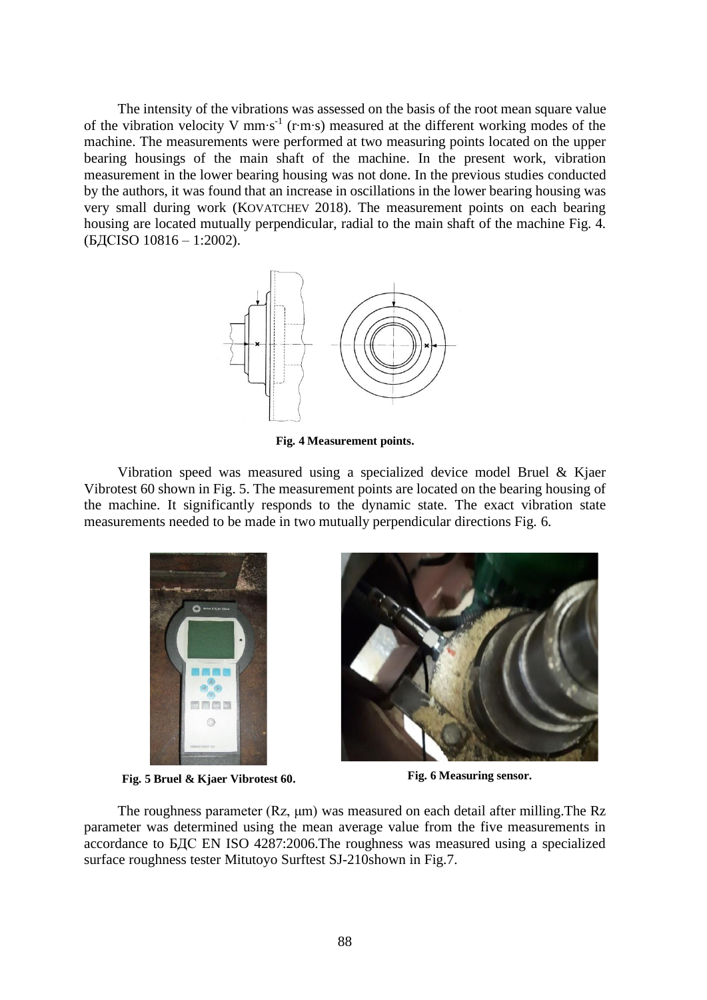The intensity of the vibrations was assessed on the basis of the root mean square value of the vibration velocity V mm⋅s<sup>-1</sup> (r⋅m⋅s) measured at the different working modes of the machine. The measurements were performed at two measuring points located on the upper bearing housings of the main shaft of the machine. In the present work, vibration measurement in the lower bearing housing was not done. In the previous studies conducted by the authors, it was found that an increase in oscillations in the lower bearing housing was very small during work (KOVATCHEV 2018). The measurement points on each bearing housing are located mutually perpendicular, radial to the main shaft of the machine Fig. 4. (БДСISO 10816 – 1:2002).



**Fig. 4 Measurement points.**

Vibration speed was measured using a specialized device model Bruel & Kjaer Vibrotest 60 shown in Fig. 5. The measurement points are located on the bearing housing of the machine. It significantly responds to the dynamic state. The exact vibration state measurements needed to be made in two mutually perpendicular directions Fig. 6.





**Fig. 5 Bruel & Kjaer Vibrotest 60. Fig. 6 Measuring sensor.**

The roughness parameter (Rz, μm) was measured on each detail after milling.The Rz parameter was determined using the mean average value from the five measurements in accordance to БДС EN ISO 4287:2006.The roughness was measured using a specialized surface roughness tester Mitutoyo Surftest SJ-210shown in Fig.7.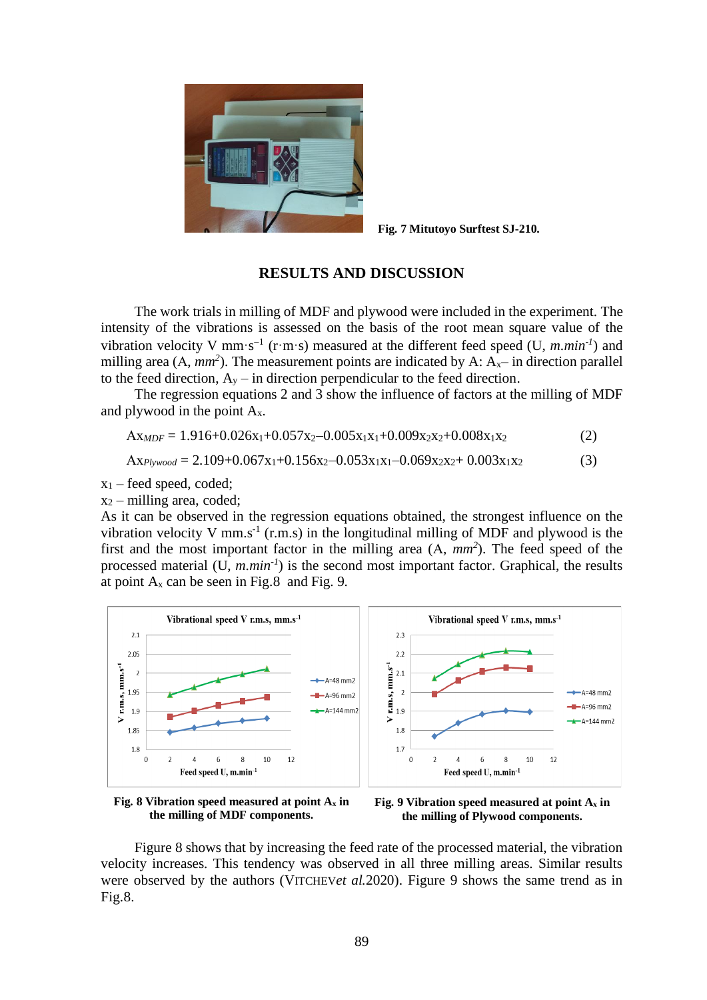

**Fig. 7 Mitutoyo Surftest SJ-210.**

# **RESULTS AND DISCUSSION**

The work trials in milling of MDF and plywood were included in the experiment. The intensity of the vibrations is assessed on the basis of the root mean square value of the vibration velocity V mm·s<sup>-1</sup> (r·m·s) measured at the different feed speed (U,  $m.min^{-1}$ ) and milling area  $(A, \text{mm}^2)$ . The measurement points are indicated by A:  $A_x$ – in direction parallel to the feed direction,  $A_y$  – in direction perpendicular to the feed direction.

The regression equations 2 and 3 show the influence of factors at the milling of MDF and plywood in the point  $A_x$ .

$$
AxMDF = 1.916 + 0.026x1 + 0.057x2 - 0.005x1x1 + 0.009x2x2 + 0.008x1x2
$$
 (2)

$$
Ax_{flywood} = 2.109 + 0.067x_1 + 0.156x_2 - 0.053x_1x_1 - 0.069x_2x_2 + 0.003x_1x_2
$$
 (3)

 $x_1$  – feed speed, coded;

 $x_2$  – milling area, coded;

As it can be observed in the regression equations obtained, the strongest influence on the vibration velocity V mm.s<sup>-1</sup> (r.m.s) in the longitudinal milling of MDF and plywood is the first and the most important factor in the milling area (А, *mm<sup>2</sup>* ). The feed speed of the processed material (U, *m*.*min-1* ) is the second most important factor. Graphical, the results at point  $A_x$  can be seen in Fig. 8 and Fig. 9.



**Fig. 8 Vibration speed measured at point A<sup>x</sup> in the milling of MDF components.**

**Fig. 9 Vibration speed measured at point A<sup>x</sup> in the milling of Plywood components.**

Figure 8 shows that by increasing the feed rate of the processed material, the vibration velocity increases. This tendency was observed in all three milling areas. Similar results were observed by the authors (VITCHEV*et al.*2020). Figure 9 shows the same trend as in Fig.8.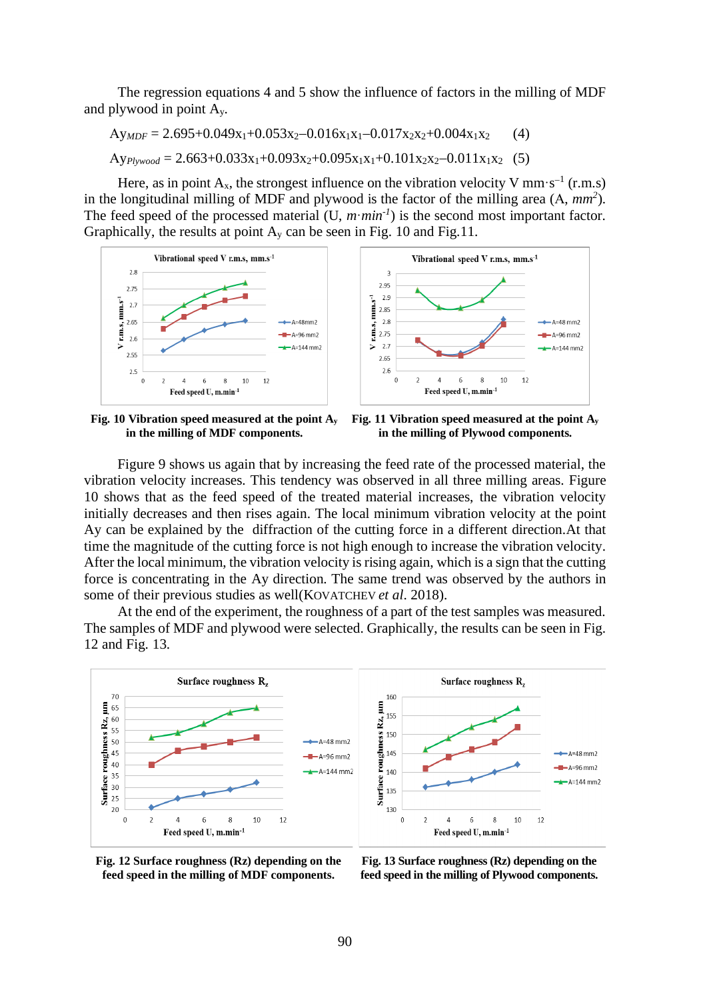The regression equations 4 and 5 show the influence of factors in the milling of MDF and plywood in point Ay.

$$
Ay_{MDF} = 2.695 + 0.049x_1 + 0.053x_2 - 0.016x_1x_1 - 0.017x_2x_2 + 0.004x_1x_2
$$
 (4)  
\n
$$
Ay_{Plvwood} = 2.663 + 0.033x_1 + 0.093x_2 + 0.095x_1x_1 + 0.101x_2x_2 - 0.011x_1x_2
$$
 (5)

Here, as in point  $A_x$ , the strongest influence on the vibration velocity V mm·s<sup>-1</sup> (r.m.s) in the longitudinal milling of MDF and plywood is the factor of the milling area (А, *mm<sup>2</sup>* ). The feed speed of the processed material  $(U, m·min<sup>-1</sup>)$  is the second most important factor. Graphically, the results at point  $A<sub>y</sub>$  can be seen in Fig. 10 and Fig. 11.



**Fig. 10 Vibration speed measured at the point A<sup>y</sup> in the milling of MDF components.**



Figure 9 shows us again that by increasing the feed rate of the processed material, the vibration velocity increases. This tendency was observed in all three milling areas. Figure 10 shows that as the feed speed of the treated material increases, the vibration velocity initially decreases and then rises again. The local minimum vibration velocity at the point Ay can be explained by the diffraction of the cutting force in a different direction.At that time the magnitude of the cutting force is not high enough to increase the vibration velocity. After the local minimum, the vibration velocity is rising again, which is a sign that the cutting force is concentrating in the Ay direction. The same trend was observed by the authors in some of their previous studies as well(KOVATCHEV *et al*. 2018).

At the end of the experiment, the roughness of a part of the test samples was measured. The samples of MDF and plywood were selected. Graphically, the results can be seen in Fig. 12 and Fig. 13.





**Fig. 13 Surface roughness (Rz) depending on the feed speed in the milling of Plywood components.**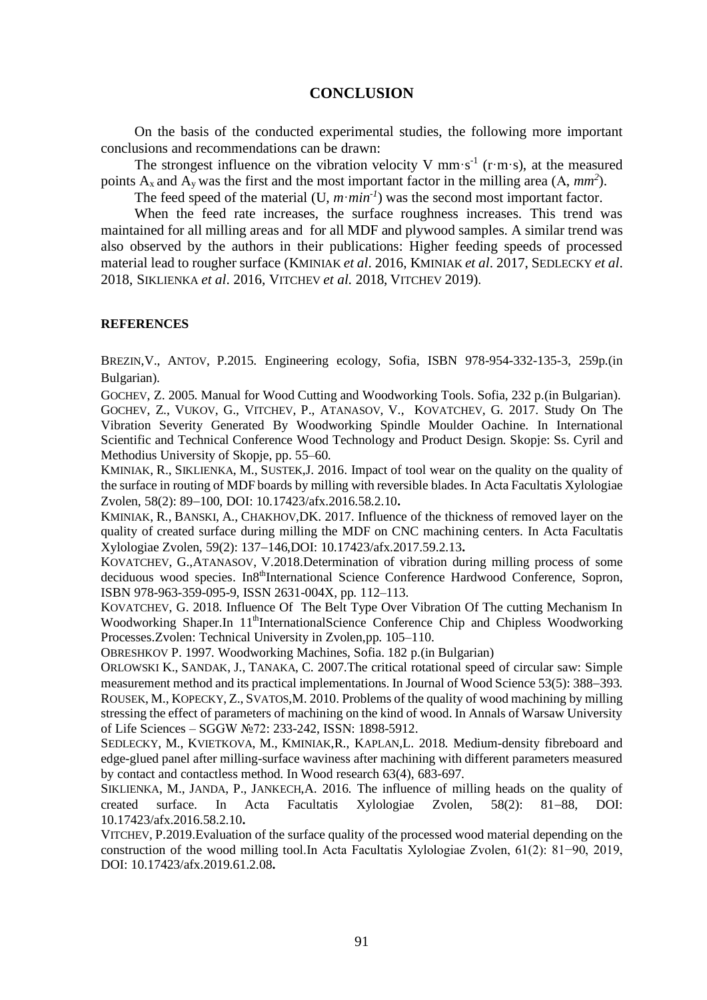### **CONCLUSION**

On the basis of the conducted experimental studies, the following more important conclusions and recommendations can be drawn:

The strongest influence on the vibration velocity V mm·s<sup>-1</sup> ( $r·m·s$ ), at the measured points  $A_x$  and  $A_y$  was the first and the most important factor in the milling area  $(A, \text{mm}^2)$ .

The feed speed of the material  $(U, m \cdot min^{-1})$  was the second most important factor.

When the feed rate increases, the surface roughness increases. This trend was maintained for all milling areas and for all MDF and plywood samples. A similar trend was also observed by the authors in their publications: Higher feeding speeds of processed material lead to rougher surface (KMINIAK *et al*. 2016, KMINIAK *et al*. 2017, SEDLECKY *et al*. 2018, SIKLIENKA *et al*. 2016, VITCHEV *et al*. 2018, VITCHEV 2019).

### **REFERENCES**

BREZIN,V., ANTOV, P.2015. Engineering ecology, Sofia, ISBN 978-954-332-135-3, 259p.(in Bulgarian).

GOCHEV, Z. 2005. Manual for Wood Cutting and Woodworking Tools. Sofia, 232 p.(in Bulgarian). GOCHEV, Z., VUKOV, G., VITCHEV, P., ATANASOV, V., KOVATCHEV, G. 2017. Study On The Vibration Severity Generated By Woodworking Spindle Moulder Oachine. In International Scientific and Technical Conference Wood Technology and Product Design. Skopje: Ss. Cyril and Methodius University of Skopje, pp. 55–60.

KMINIAK, R., SIKLIENKA, M., SUSTEK,J. 2016. Impact of tool wear on the quality on the quality of the surface in routing of MDF boards by milling with reversible blades. In Acta Facultatis Xylologiae Zvolen, 58(2): 89−100, DOI: 10.17423/afx.2016.58.2.10**.**

KMINIAK, R., BANSKI, A., CHAKHOV,DK. 2017. Influence of the thickness of removed layer on the quality of created surface during milling the MDF on CNC machining centers. In Acta Facultatis Xylologiae Zvolen, 59(2): 137−146,DOI: 10.17423/afx.2017.59.2.13**.**

KOVATCHEV, G.,ATANASOV, V.2018.Determination of vibration during milling process of some deciduous wood species. In8<sup>th</sup>International Science Conference Hardwood Conference, Sopron, ISBN 978-963-359-095-9, ISSN 2631-004X, pp. 112–113.

KOVATCHEV, G. 2018. Influence Of The Belt Type Over Vibration Of The cutting Mechanism In Woodworking Shaper.In 11<sup>th</sup>InternationalScience Conference Chip and Chipless Woodworking Processes.Zvolen: Technical University in Zvolen,pp. 105–110.

OBRESHKOV P. 1997. Woodworking Machines, Sofia. 182 p.(in Bulgarian)

ORLOWSKI K., SANDAK, J., TANAKA, C. 2007.The critical rotational speed of circular saw: Simple measurement method and its practical implementations. In Journal of Wood Science 53(5): 388−393. ROUSEK, M., KOPECKY, Z., SVATOS,M. 2010. Problems of the quality of wood machining by milling stressing the effect of parameters of machining on the kind of wood. In Annals of Warsaw University of Life Sciences – SGGW №72: 233-242, ISSN: 1898-5912.

SEDLECKY, M., KVIETKOVA, M., KMINIAK,R., KAPLAN,L. 2018. Medium-density fibreboard and edge-glued panel after milling-surface waviness after machining with different parameters measured by contact and contactless method. In Wood research 63(4), 683-697.

SIKLIENKA, M., JANDA, P., JANKECH,A. 2016. The influence of milling heads on the quality of created surface. In Acta Facultatis Xylologiae Zvolen, 58(2): 81−88, DOI: 10.17423/afx.2016.58.2.10**.**

VITCHEV, P.2019.Evaluation of the surface quality of the processed wood material depending on the construction of the wood milling tool.In Acta Facultatis Xylologiae Zvolen, 61(2): 81−90, 2019, DOI: 10.17423/afx.2019.61.2.08**.**